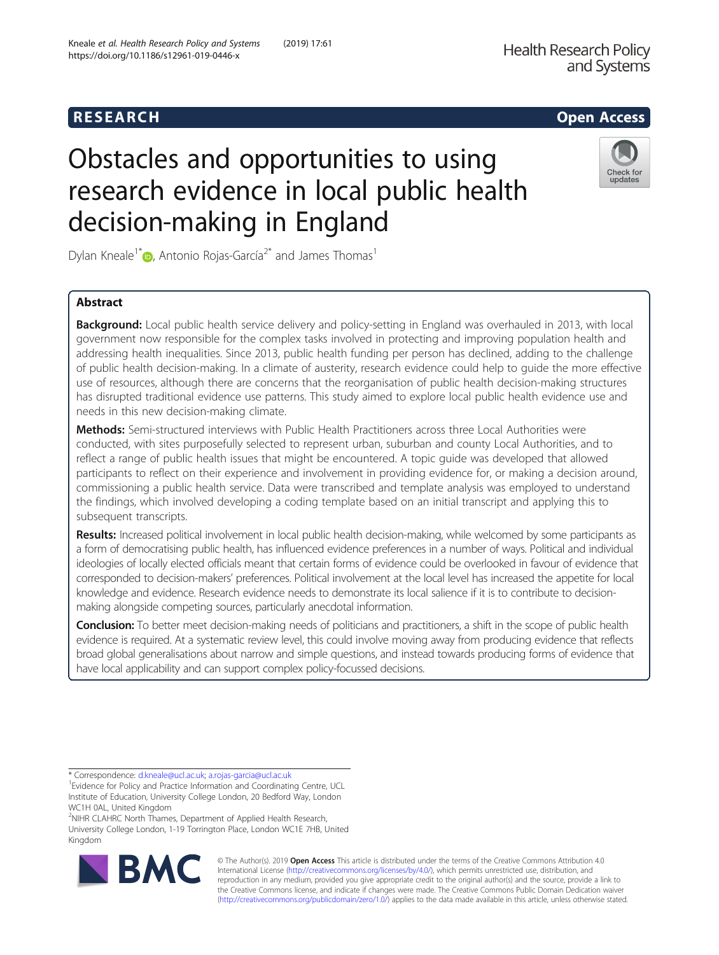## R E S EAR CH Open Access

# Obstacles and opportunities to using research evidence in local public health decision-making in England

Dylan Kneale<sup>1\*</sup> $\bullet$ [,](http://orcid.org/0000-0002-7016-978X) Antonio Rojas-García<sup>2\*</sup> and James Thomas<sup>1</sup>

## Abstract

Background: Local public health service delivery and policy-setting in England was overhauled in 2013, with local government now responsible for the complex tasks involved in protecting and improving population health and addressing health inequalities. Since 2013, public health funding per person has declined, adding to the challenge of public health decision-making. In a climate of austerity, research evidence could help to guide the more effective use of resources, although there are concerns that the reorganisation of public health decision-making structures has disrupted traditional evidence use patterns. This study aimed to explore local public health evidence use and needs in this new decision-making climate.

Methods: Semi-structured interviews with Public Health Practitioners across three Local Authorities were conducted, with sites purposefully selected to represent urban, suburban and county Local Authorities, and to reflect a range of public health issues that might be encountered. A topic guide was developed that allowed participants to reflect on their experience and involvement in providing evidence for, or making a decision around, commissioning a public health service. Data were transcribed and template analysis was employed to understand the findings, which involved developing a coding template based on an initial transcript and applying this to subsequent transcripts.

Results: Increased political involvement in local public health decision-making, while welcomed by some participants as a form of democratising public health, has influenced evidence preferences in a number of ways. Political and individual ideologies of locally elected officials meant that certain forms of evidence could be overlooked in favour of evidence that corresponded to decision-makers' preferences. Political involvement at the local level has increased the appetite for local knowledge and evidence. Research evidence needs to demonstrate its local salience if it is to contribute to decisionmaking alongside competing sources, particularly anecdotal information.

Conclusion: To better meet decision-making needs of politicians and practitioners, a shift in the scope of public health evidence is required. At a systematic review level, this could involve moving away from producing evidence that reflects broad global generalisations about narrow and simple questions, and instead towards producing forms of evidence that have local applicability and can support complex policy-focussed decisions.

\* Correspondence: [d.kneale@ucl.ac.uk](mailto:d.kneale@ucl.ac.uk); [a.rojas-garcia@ucl.ac.uk](mailto:a.rojas-garcia@ucl.ac.uk) <sup>1</sup>

<sup>1</sup> Evidence for Policy and Practice Information and Coordinating Centre, UCL Institute of Education, University College London, 20 Bedford Way, London WC1H 0AL, United Kingdom

2 NIHR CLAHRC North Thames, Department of Applied Health Research, University College London, 1-19 Torrington Place, London WC1E 7HB, United Kingdom



© The Author(s). 2019 **Open Access** This article is distributed under the terms of the Creative Commons Attribution 4.0 International License [\(http://creativecommons.org/licenses/by/4.0/](http://creativecommons.org/licenses/by/4.0/)), which permits unrestricted use, distribution, and reproduction in any medium, provided you give appropriate credit to the original author(s) and the source, provide a link to the Creative Commons license, and indicate if changes were made. The Creative Commons Public Domain Dedication waiver [\(http://creativecommons.org/publicdomain/zero/1.0/](http://creativecommons.org/publicdomain/zero/1.0/)) applies to the data made available in this article, unless otherwise stated.



updates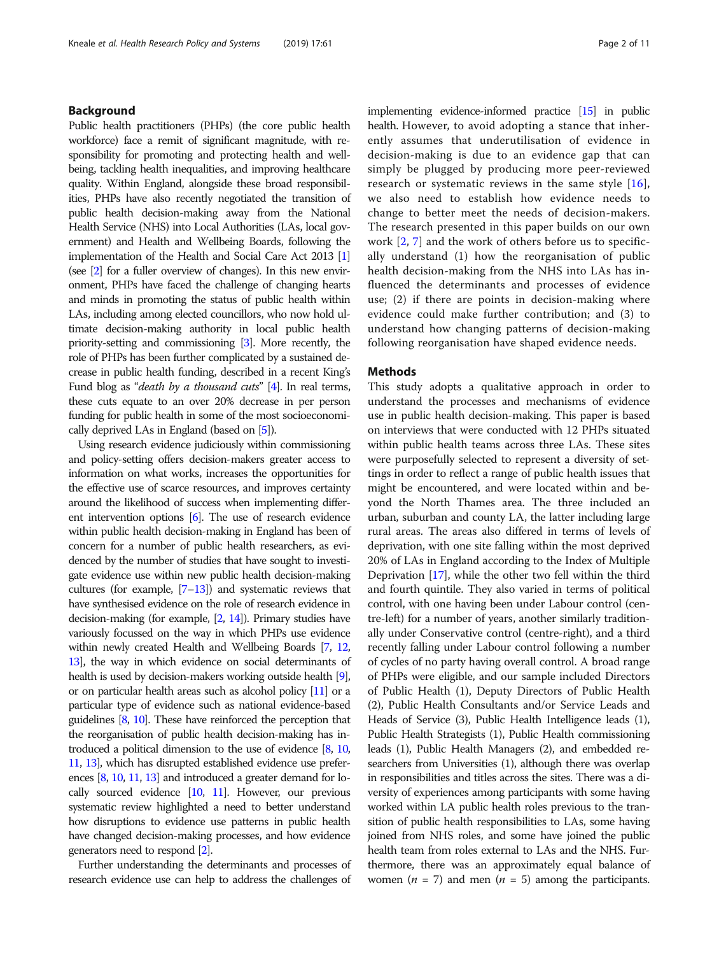## Background

Public health practitioners (PHPs) (the core public health workforce) face a remit of significant magnitude, with responsibility for promoting and protecting health and wellbeing, tackling health inequalities, and improving healthcare quality. Within England, alongside these broad responsibilities, PHPs have also recently negotiated the transition of public health decision-making away from the National Health Service (NHS) into Local Authorities (LAs, local government) and Health and Wellbeing Boards, following the implementation of the Health and Social Care Act 2013 [[1](#page-9-0)] (see [[2](#page-9-0)] for a fuller overview of changes). In this new environment, PHPs have faced the challenge of changing hearts and minds in promoting the status of public health within LAs, including among elected councillors, who now hold ultimate decision-making authority in local public health priority-setting and commissioning [\[3\]](#page-9-0). More recently, the role of PHPs has been further complicated by a sustained decrease in public health funding, described in a recent King's Fund blog as "*death by a thousand cuts*" [\[4\]](#page-9-0). In real terms, these cuts equate to an over 20% decrease in per person funding for public health in some of the most socioeconomically deprived LAs in England (based on [\[5](#page-9-0)]).

Using research evidence judiciously within commissioning and policy-setting offers decision-makers greater access to information on what works, increases the opportunities for the effective use of scarce resources, and improves certainty around the likelihood of success when implementing different intervention options [\[6](#page-9-0)]. The use of research evidence within public health decision-making in England has been of concern for a number of public health researchers, as evidenced by the number of studies that have sought to investigate evidence use within new public health decision-making cultures (for example,  $[7-13]$  $[7-13]$  $[7-13]$  $[7-13]$  $[7-13]$ ) and systematic reviews that have synthesised evidence on the role of research evidence in decision-making (for example, [\[2](#page-9-0), [14\]](#page-9-0)). Primary studies have variously focussed on the way in which PHPs use evidence within newly created Health and Wellbeing Boards [\[7](#page-9-0), [12](#page-9-0), [13\]](#page-9-0), the way in which evidence on social determinants of health is used by decision-makers working outside health [\[9\]](#page-9-0), or on particular health areas such as alcohol policy [[11\]](#page-9-0) or a particular type of evidence such as national evidence-based guidelines [\[8](#page-9-0), [10\]](#page-9-0). These have reinforced the perception that the reorganisation of public health decision-making has introduced a political dimension to the use of evidence [\[8](#page-9-0), [10](#page-9-0), [11,](#page-9-0) [13](#page-9-0)], which has disrupted established evidence use preferences [\[8,](#page-9-0) [10,](#page-9-0) [11,](#page-9-0) [13](#page-9-0)] and introduced a greater demand for locally sourced evidence  $[10, 11]$  $[10, 11]$  $[10, 11]$  $[10, 11]$ . However, our previous systematic review highlighted a need to better understand how disruptions to evidence use patterns in public health have changed decision-making processes, and how evidence generators need to respond [\[2](#page-9-0)].

Further understanding the determinants and processes of research evidence use can help to address the challenges of implementing evidence-informed practice [\[15](#page-9-0)] in public health. However, to avoid adopting a stance that inherently assumes that underutilisation of evidence in decision-making is due to an evidence gap that can simply be plugged by producing more peer-reviewed research or systematic reviews in the same style [[16](#page-9-0)], we also need to establish how evidence needs to change to better meet the needs of decision-makers. The research presented in this paper builds on our own work [[2,](#page-9-0) [7](#page-9-0)] and the work of others before us to specifically understand (1) how the reorganisation of public health decision-making from the NHS into LAs has influenced the determinants and processes of evidence use; (2) if there are points in decision-making where evidence could make further contribution; and (3) to understand how changing patterns of decision-making following reorganisation have shaped evidence needs.

### Methods

This study adopts a qualitative approach in order to understand the processes and mechanisms of evidence use in public health decision-making. This paper is based on interviews that were conducted with 12 PHPs situated within public health teams across three LAs. These sites were purposefully selected to represent a diversity of settings in order to reflect a range of public health issues that might be encountered, and were located within and beyond the North Thames area. The three included an urban, suburban and county LA, the latter including large rural areas. The areas also differed in terms of levels of deprivation, with one site falling within the most deprived 20% of LAs in England according to the Index of Multiple Deprivation [\[17\]](#page-9-0), while the other two fell within the third and fourth quintile. They also varied in terms of political control, with one having been under Labour control (centre-left) for a number of years, another similarly traditionally under Conservative control (centre-right), and a third recently falling under Labour control following a number of cycles of no party having overall control. A broad range of PHPs were eligible, and our sample included Directors of Public Health (1), Deputy Directors of Public Health (2), Public Health Consultants and/or Service Leads and Heads of Service (3), Public Health Intelligence leads (1), Public Health Strategists (1), Public Health commissioning leads (1), Public Health Managers (2), and embedded researchers from Universities (1), although there was overlap in responsibilities and titles across the sites. There was a diversity of experiences among participants with some having worked within LA public health roles previous to the transition of public health responsibilities to LAs, some having joined from NHS roles, and some have joined the public health team from roles external to LAs and the NHS. Furthermore, there was an approximately equal balance of women ( $n = 7$ ) and men ( $n = 5$ ) among the participants.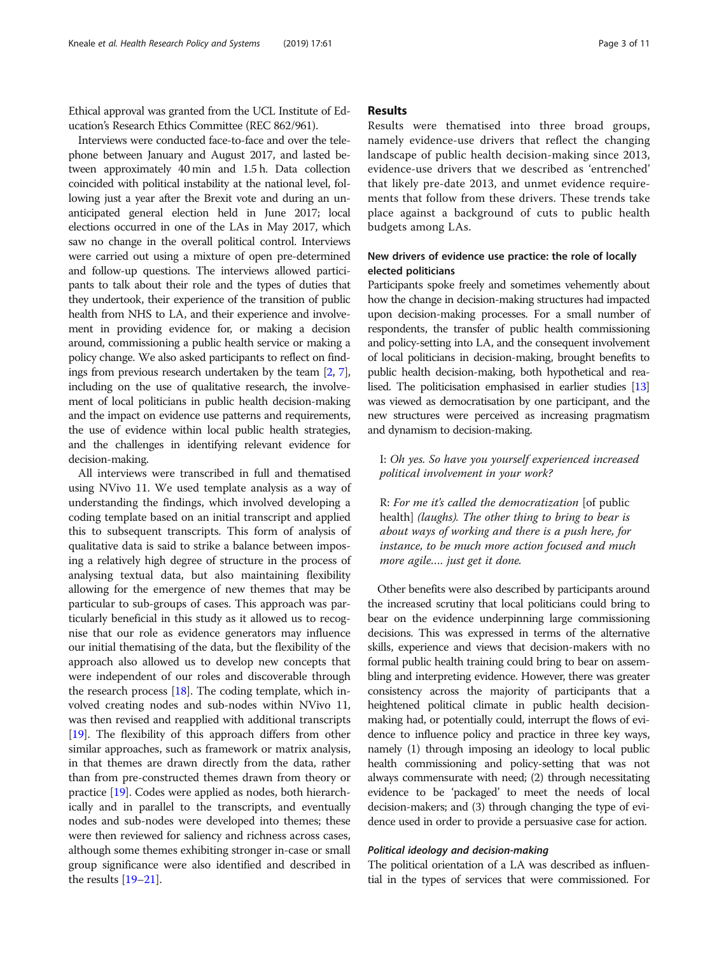Ethical approval was granted from the UCL Institute of Education's Research Ethics Committee (REC 862/961).

Interviews were conducted face-to-face and over the telephone between January and August 2017, and lasted between approximately 40 min and 1.5 h. Data collection coincided with political instability at the national level, following just a year after the Brexit vote and during an unanticipated general election held in June 2017; local elections occurred in one of the LAs in May 2017, which saw no change in the overall political control. Interviews were carried out using a mixture of open pre-determined and follow-up questions. The interviews allowed participants to talk about their role and the types of duties that they undertook, their experience of the transition of public health from NHS to LA, and their experience and involvement in providing evidence for, or making a decision around, commissioning a public health service or making a policy change. We also asked participants to reflect on findings from previous research undertaken by the team [\[2,](#page-9-0) [7](#page-9-0)], including on the use of qualitative research, the involvement of local politicians in public health decision-making and the impact on evidence use patterns and requirements, the use of evidence within local public health strategies, and the challenges in identifying relevant evidence for decision-making.

All interviews were transcribed in full and thematised using NVivo 11. We used template analysis as a way of understanding the findings, which involved developing a coding template based on an initial transcript and applied this to subsequent transcripts. This form of analysis of qualitative data is said to strike a balance between imposing a relatively high degree of structure in the process of analysing textual data, but also maintaining flexibility allowing for the emergence of new themes that may be particular to sub-groups of cases. This approach was particularly beneficial in this study as it allowed us to recognise that our role as evidence generators may influence our initial thematising of the data, but the flexibility of the approach also allowed us to develop new concepts that were independent of our roles and discoverable through the research process  $[18]$ . The coding template, which involved creating nodes and sub-nodes within NVivo 11, was then revised and reapplied with additional transcripts [[19](#page-9-0)]. The flexibility of this approach differs from other similar approaches, such as framework or matrix analysis, in that themes are drawn directly from the data, rather than from pre-constructed themes drawn from theory or practice [\[19\]](#page-9-0). Codes were applied as nodes, both hierarchically and in parallel to the transcripts, and eventually nodes and sub-nodes were developed into themes; these were then reviewed for saliency and richness across cases, although some themes exhibiting stronger in-case or small group significance were also identified and described in the results  $[19-21]$  $[19-21]$  $[19-21]$  $[19-21]$ .

## Results

Results were thematised into three broad groups, namely evidence-use drivers that reflect the changing landscape of public health decision-making since 2013, evidence-use drivers that we described as 'entrenched' that likely pre-date 2013, and unmet evidence requirements that follow from these drivers. These trends take place against a background of cuts to public health budgets among LAs.

## New drivers of evidence use practice: the role of locally elected politicians

Participants spoke freely and sometimes vehemently about how the change in decision-making structures had impacted upon decision-making processes. For a small number of respondents, the transfer of public health commissioning and policy-setting into LA, and the consequent involvement of local politicians in decision-making, brought benefits to public health decision-making, both hypothetical and realised. The politicisation emphasised in earlier studies [\[13](#page-9-0)] was viewed as democratisation by one participant, and the new structures were perceived as increasing pragmatism and dynamism to decision-making.

## I: Oh yes. So have you yourself experienced increased political involvement in your work?

R: For me it's called the democratization [of public health] (laughs). The other thing to bring to bear is about ways of working and there is a push here, for instance, to be much more action focused and much more agile…. just get it done.

Other benefits were also described by participants around the increased scrutiny that local politicians could bring to bear on the evidence underpinning large commissioning decisions. This was expressed in terms of the alternative skills, experience and views that decision-makers with no formal public health training could bring to bear on assembling and interpreting evidence. However, there was greater consistency across the majority of participants that a heightened political climate in public health decisionmaking had, or potentially could, interrupt the flows of evidence to influence policy and practice in three key ways, namely (1) through imposing an ideology to local public health commissioning and policy-setting that was not always commensurate with need; (2) through necessitating evidence to be 'packaged' to meet the needs of local decision-makers; and (3) through changing the type of evidence used in order to provide a persuasive case for action.

## Political ideology and decision-making

The political orientation of a LA was described as influential in the types of services that were commissioned. For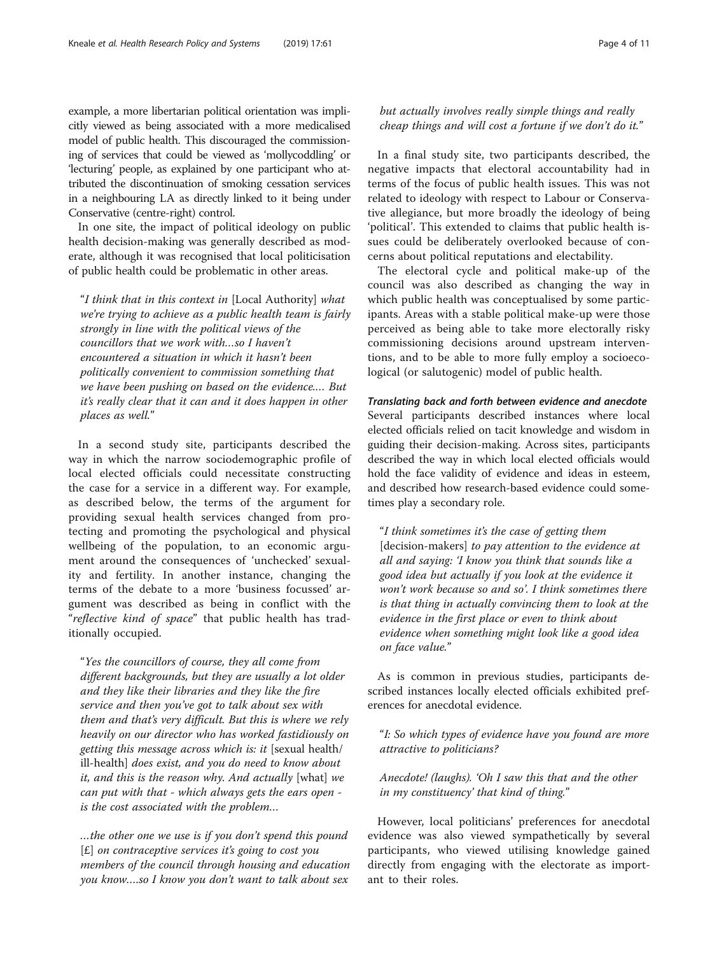example, a more libertarian political orientation was implicitly viewed as being associated with a more medicalised model of public health. This discouraged the commissioning of services that could be viewed as 'mollycoddling' or 'lecturing' people, as explained by one participant who attributed the discontinuation of smoking cessation services in a neighbouring LA as directly linked to it being under Conservative (centre-right) control.

In one site, the impact of political ideology on public health decision-making was generally described as moderate, although it was recognised that local politicisation of public health could be problematic in other areas.

"I think that in this context in [Local Authority] what we're trying to achieve as a public health team is fairly strongly in line with the political views of the councillors that we work with…so I haven't encountered a situation in which it hasn't been politically convenient to commission something that we have been pushing on based on the evidence.… But it's really clear that it can and it does happen in other places as well."

In a second study site, participants described the way in which the narrow sociodemographic profile of local elected officials could necessitate constructing the case for a service in a different way. For example, as described below, the terms of the argument for providing sexual health services changed from protecting and promoting the psychological and physical wellbeing of the population, to an economic argument around the consequences of 'unchecked' sexuality and fertility. In another instance, changing the terms of the debate to a more 'business focussed' argument was described as being in conflict with the "reflective kind of space" that public health has traditionally occupied.

"Yes the councillors of course, they all come from different backgrounds, but they are usually a lot older and they like their libraries and they like the fire service and then you've got to talk about sex with them and that's very difficult. But this is where we rely heavily on our director who has worked fastidiously on getting this message across which is: it [sexual health/ ill-health] does exist, and you do need to know about it, and this is the reason why. And actually [what] we can put with that - which always gets the ears open is the cost associated with the problem…

…the other one we use is if you don't spend this pound [£] on contraceptive services it's going to cost you members of the council through housing and education you know….so I know you don't want to talk about sex

## but actually involves really simple things and really cheap things and will cost a fortune if we don't do it."

In a final study site, two participants described, the negative impacts that electoral accountability had in terms of the focus of public health issues. This was not related to ideology with respect to Labour or Conservative allegiance, but more broadly the ideology of being 'political'. This extended to claims that public health issues could be deliberately overlooked because of concerns about political reputations and electability.

The electoral cycle and political make-up of the council was also described as changing the way in which public health was conceptualised by some participants. Areas with a stable political make-up were those perceived as being able to take more electorally risky commissioning decisions around upstream interventions, and to be able to more fully employ a socioecological (or salutogenic) model of public health.

Translating back and forth between evidence and anecdote Several participants described instances where local elected officials relied on tacit knowledge and wisdom in guiding their decision-making. Across sites, participants described the way in which local elected officials would hold the face validity of evidence and ideas in esteem, and described how research-based evidence could sometimes play a secondary role.

"I think sometimes it's the case of getting them [decision-makers] to pay attention to the evidence at all and saying: 'I know you think that sounds like a good idea but actually if you look at the evidence it won't work because so and so'. I think sometimes there is that thing in actually convincing them to look at the evidence in the first place or even to think about evidence when something might look like a good idea on face value."

As is common in previous studies, participants described instances locally elected officials exhibited preferences for anecdotal evidence.

"I: So which types of evidence have you found are more attractive to politicians?

Anecdote! (laughs). 'Oh I saw this that and the other in my constituency' that kind of thing."

However, local politicians' preferences for anecdotal evidence was also viewed sympathetically by several participants, who viewed utilising knowledge gained directly from engaging with the electorate as important to their roles.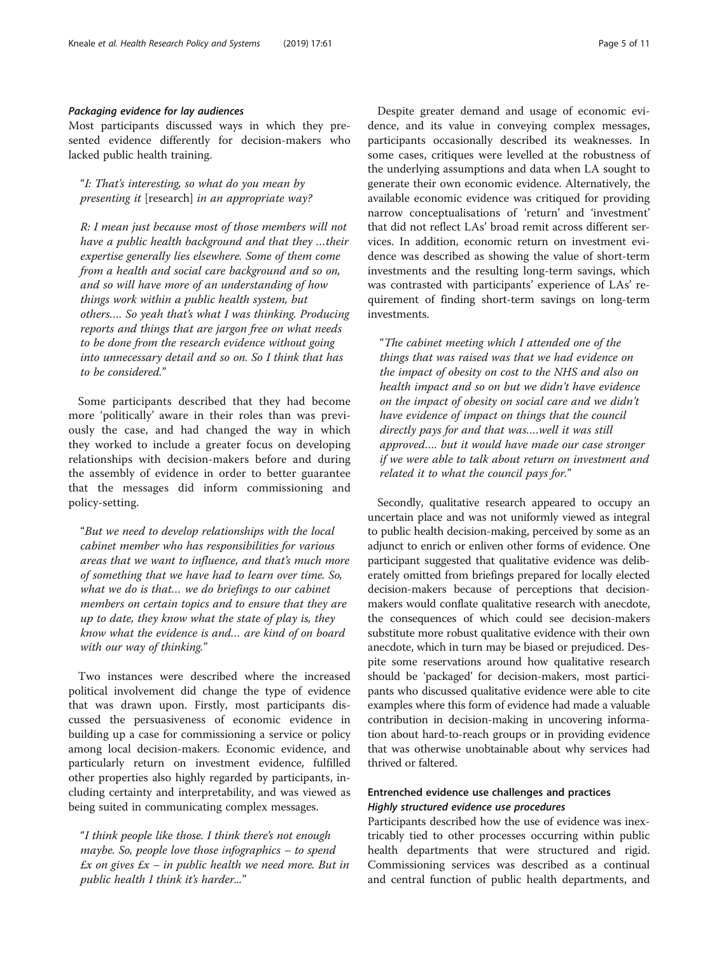## Packaging evidence for lay audiences

Most participants discussed ways in which they presented evidence differently for decision-makers who lacked public health training.

"I: That's interesting, so what do you mean by presenting it [research] in an appropriate way?

R: I mean just because most of those members will not have a public health background and that they …their expertise generally lies elsewhere. Some of them come from a health and social care background and so on, and so will have more of an understanding of how things work within a public health system, but others…. So yeah that's what I was thinking. Producing reports and things that are jargon free on what needs to be done from the research evidence without going into unnecessary detail and so on. So I think that has to be considered."

Some participants described that they had become more 'politically' aware in their roles than was previously the case, and had changed the way in which they worked to include a greater focus on developing relationships with decision-makers before and during the assembly of evidence in order to better guarantee that the messages did inform commissioning and policy-setting.

"But we need to develop relationships with the local cabinet member who has responsibilities for various areas that we want to influence, and that's much more of something that we have had to learn over time. So, what we do is that... we do briefings to our cabinet members on certain topics and to ensure that they are up to date, they know what the state of play is, they know what the evidence is and… are kind of on board with our way of thinking."

Two instances were described where the increased political involvement did change the type of evidence that was drawn upon. Firstly, most participants discussed the persuasiveness of economic evidence in building up a case for commissioning a service or policy among local decision-makers. Economic evidence, and particularly return on investment evidence, fulfilled other properties also highly regarded by participants, including certainty and interpretability, and was viewed as being suited in communicating complex messages.

"I think people like those. I think there's not enough maybe. So, people love those infographics – to spend  $Ex$  on gives  $Ex - in$  public health we need more. But in public health I think it's harder..."

Despite greater demand and usage of economic evidence, and its value in conveying complex messages, participants occasionally described its weaknesses. In some cases, critiques were levelled at the robustness of the underlying assumptions and data when LA sought to generate their own economic evidence. Alternatively, the available economic evidence was critiqued for providing narrow conceptualisations of 'return' and 'investment' that did not reflect LAs' broad remit across different services. In addition, economic return on investment evidence was described as showing the value of short-term investments and the resulting long-term savings, which was contrasted with participants' experience of LAs' requirement of finding short-term savings on long-term investments.

"The cabinet meeting which I attended one of the things that was raised was that we had evidence on the impact of obesity on cost to the NHS and also on health impact and so on but we didn't have evidence on the impact of obesity on social care and we didn't have evidence of impact on things that the council directly pays for and that was….well it was still approved…. but it would have made our case stronger if we were able to talk about return on investment and related it to what the council pays for."

Secondly, qualitative research appeared to occupy an uncertain place and was not uniformly viewed as integral to public health decision-making, perceived by some as an adjunct to enrich or enliven other forms of evidence. One participant suggested that qualitative evidence was deliberately omitted from briefings prepared for locally elected decision-makers because of perceptions that decisionmakers would conflate qualitative research with anecdote, the consequences of which could see decision-makers substitute more robust qualitative evidence with their own anecdote, which in turn may be biased or prejudiced. Despite some reservations around how qualitative research should be 'packaged' for decision-makers, most participants who discussed qualitative evidence were able to cite examples where this form of evidence had made a valuable contribution in decision-making in uncovering information about hard-to-reach groups or in providing evidence that was otherwise unobtainable about why services had thrived or faltered.

## Entrenched evidence use challenges and practices Highly structured evidence use procedures

Participants described how the use of evidence was inextricably tied to other processes occurring within public health departments that were structured and rigid. Commissioning services was described as a continual and central function of public health departments, and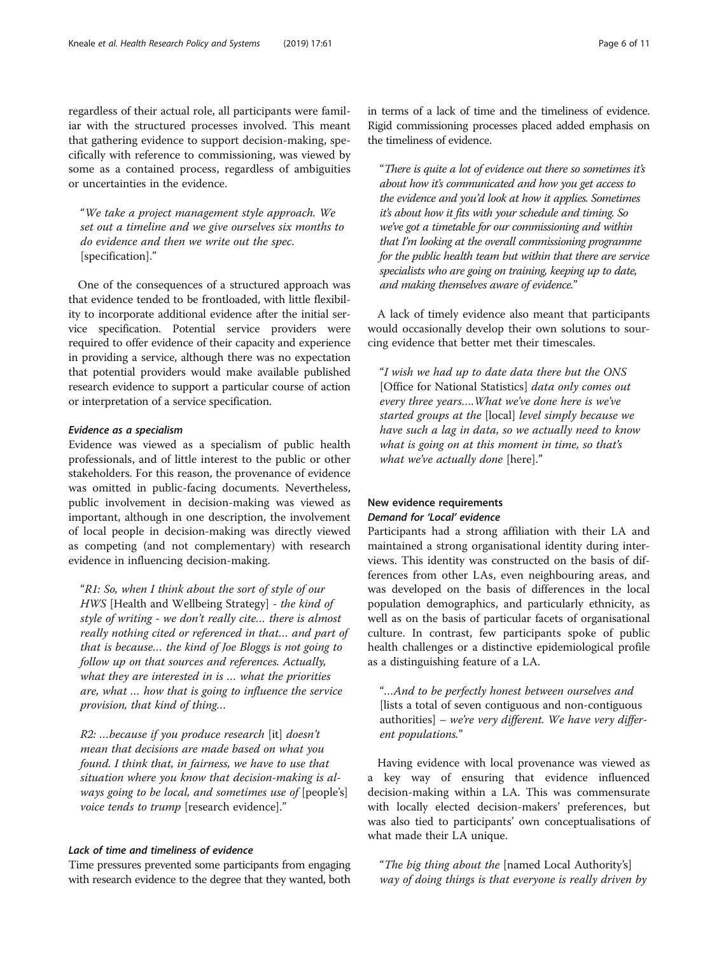regardless of their actual role, all participants were familiar with the structured processes involved. This meant that gathering evidence to support decision-making, specifically with reference to commissioning, was viewed by some as a contained process, regardless of ambiguities or uncertainties in the evidence.

"We take a project management style approach. We set out a timeline and we give ourselves six months to do evidence and then we write out the spec. [specification]."

One of the consequences of a structured approach was that evidence tended to be frontloaded, with little flexibility to incorporate additional evidence after the initial service specification. Potential service providers were required to offer evidence of their capacity and experience in providing a service, although there was no expectation that potential providers would make available published research evidence to support a particular course of action or interpretation of a service specification.

### Evidence as a specialism

Evidence was viewed as a specialism of public health professionals, and of little interest to the public or other stakeholders. For this reason, the provenance of evidence was omitted in public-facing documents. Nevertheless, public involvement in decision-making was viewed as important, although in one description, the involvement of local people in decision-making was directly viewed as competing (and not complementary) with research evidence in influencing decision-making.

"R1: So, when I think about the sort of style of our HWS [Health and Wellbeing Strategy] - the kind of style of writing - we don't really cite… there is almost really nothing cited or referenced in that… and part of that is because… the kind of Joe Bloggs is not going to follow up on that sources and references. Actually, what they are interested in is ... what the priorities are, what … how that is going to influence the service provision, that kind of thing…

R2: …because if you produce research [it] doesn't mean that decisions are made based on what you found. I think that, in fairness, we have to use that situation where you know that decision-making is always going to be local, and sometimes use of [people's] voice tends to trump [research evidence]."

## Lack of time and timeliness of evidence

Time pressures prevented some participants from engaging with research evidence to the degree that they wanted, both in terms of a lack of time and the timeliness of evidence. Rigid commissioning processes placed added emphasis on the timeliness of evidence.

"There is quite a lot of evidence out there so sometimes it's about how it's communicated and how you get access to the evidence and you'd look at how it applies. Sometimes it's about how it fits with your schedule and timing. So we've got a timetable for our commissioning and within that I'm looking at the overall commissioning programme for the public health team but within that there are service specialists who are going on training, keeping up to date, and making themselves aware of evidence."

A lack of timely evidence also meant that participants would occasionally develop their own solutions to sourcing evidence that better met their timescales.

"I wish we had up to date data there but the ONS [Office for National Statistics] data only comes out every three years….What we've done here is we've started groups at the [local] level simply because we have such a lag in data, so we actually need to know what is going on at this moment in time, so that's what we've actually done [here]."

## New evidence requirements Demand for 'Local' evidence

Participants had a strong affiliation with their LA and maintained a strong organisational identity during interviews. This identity was constructed on the basis of differences from other LAs, even neighbouring areas, and was developed on the basis of differences in the local population demographics, and particularly ethnicity, as well as on the basis of particular facets of organisational culture. In contrast, few participants spoke of public health challenges or a distinctive epidemiological profile as a distinguishing feature of a LA.

"…And to be perfectly honest between ourselves and [lists a total of seven contiguous and non-contiguous authorities] – we're very different. We have very different populations."

Having evidence with local provenance was viewed as a key way of ensuring that evidence influenced decision-making within a LA. This was commensurate with locally elected decision-makers' preferences, but was also tied to participants' own conceptualisations of what made their LA unique.

"The big thing about the [named Local Authority's] way of doing things is that everyone is really driven by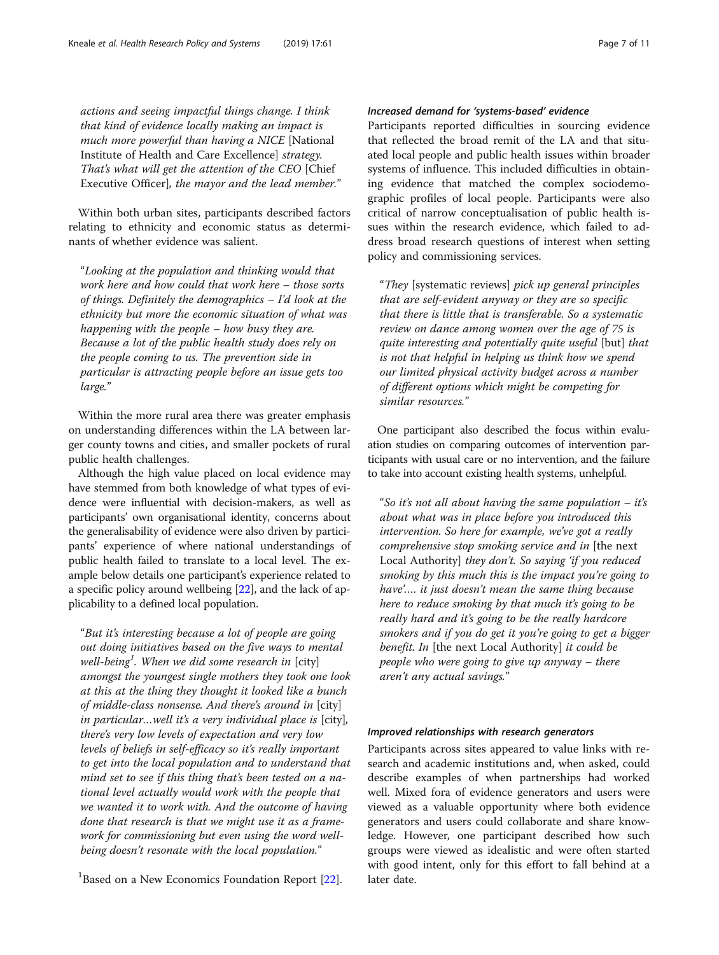actions and seeing impactful things change. I think that kind of evidence locally making an impact is much more powerful than having a NICE [National Institute of Health and Care Excellence] strategy. That's what will get the attention of the CEO [Chief Executive Officer], the mayor and the lead member."

Within both urban sites, participants described factors relating to ethnicity and economic status as determinants of whether evidence was salient.

"Looking at the population and thinking would that work here and how could that work here – those sorts of things. Definitely the demographics – I'd look at the ethnicity but more the economic situation of what was happening with the people – how busy they are. Because a lot of the public health study does rely on the people coming to us. The prevention side in particular is attracting people before an issue gets too large."

Within the more rural area there was greater emphasis on understanding differences within the LA between larger county towns and cities, and smaller pockets of rural public health challenges.

Although the high value placed on local evidence may have stemmed from both knowledge of what types of evidence were influential with decision-makers, as well as participants' own organisational identity, concerns about the generalisability of evidence were also driven by participants' experience of where national understandings of public health failed to translate to a local level. The example below details one participant's experience related to a specific policy around wellbeing [[22](#page-9-0)], and the lack of applicability to a defined local population.

"But it's interesting because a lot of people are going out doing initiatives based on the five ways to mental well-being<sup>1</sup>. When we did some research in [city] amongst the youngest single mothers they took one look at this at the thing they thought it looked like a bunch of middle-class nonsense. And there's around in [city] in particular…well it's a very individual place is [city], there's very low levels of expectation and very low levels of beliefs in self-efficacy so it's really important to get into the local population and to understand that mind set to see if this thing that's been tested on a national level actually would work with the people that we wanted it to work with. And the outcome of having done that research is that we might use it as a framework for commissioning but even using the word wellbeing doesn't resonate with the local population."

<sup>1</sup>Based on a New Economics Foundation Report [\[22](#page-9-0)].

## Increased demand for 'systems-based' evidence

Participants reported difficulties in sourcing evidence that reflected the broad remit of the LA and that situated local people and public health issues within broader systems of influence. This included difficulties in obtaining evidence that matched the complex sociodemographic profiles of local people. Participants were also critical of narrow conceptualisation of public health issues within the research evidence, which failed to address broad research questions of interest when setting policy and commissioning services.

"They [systematic reviews] pick up general principles that are self-evident anyway or they are so specific that there is little that is transferable. So a systematic review on dance among women over the age of 75 is quite interesting and potentially quite useful [but] that is not that helpful in helping us think how we spend our limited physical activity budget across a number of different options which might be competing for similar resources."

One participant also described the focus within evaluation studies on comparing outcomes of intervention participants with usual care or no intervention, and the failure to take into account existing health systems, unhelpful.

"So it's not all about having the same population  $-$  it's about what was in place before you introduced this intervention. So here for example, we've got a really comprehensive stop smoking service and in [the next Local Authority] they don't. So saying 'if you reduced smoking by this much this is the impact you're going to have'…. it just doesn't mean the same thing because here to reduce smoking by that much it's going to be really hard and it's going to be the really hardcore smokers and if you do get it you're going to get a bigger benefit. In [the next Local Authority] it could be people who were going to give up anyway – there aren't any actual savings."

#### Improved relationships with research generators

Participants across sites appeared to value links with research and academic institutions and, when asked, could describe examples of when partnerships had worked well. Mixed fora of evidence generators and users were viewed as a valuable opportunity where both evidence generators and users could collaborate and share knowledge. However, one participant described how such groups were viewed as idealistic and were often started with good intent, only for this effort to fall behind at a later date.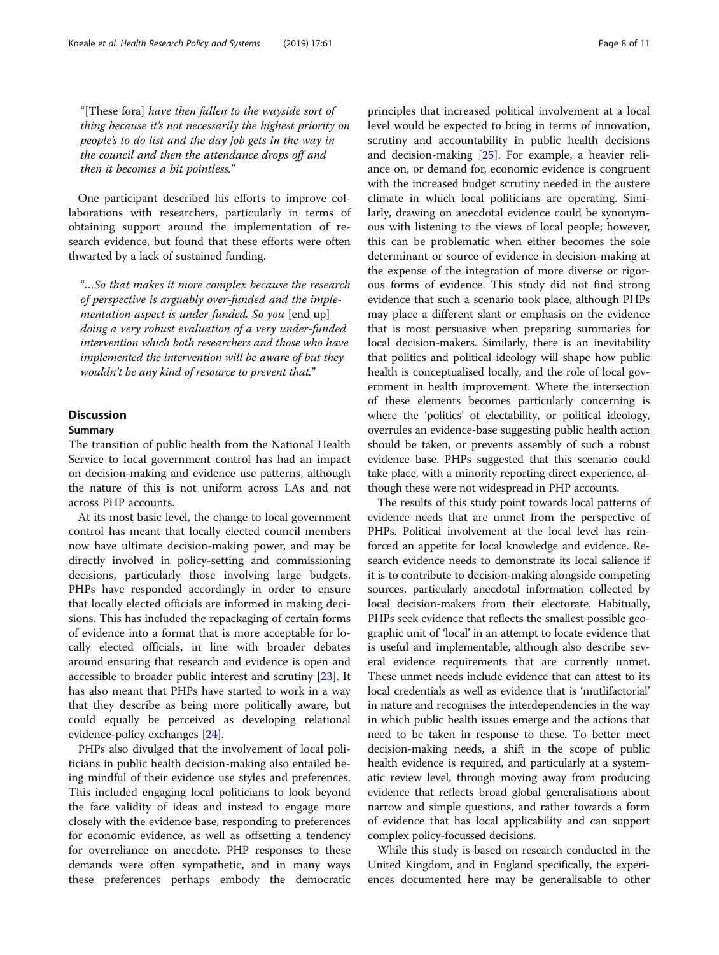"[These fora] have then fallen to the wayside sort of thing because it's not necessarily the highest priority on people's to do list and the day job gets in the way in the council and then the attendance drops off and then it becomes a bit pointless."

One participant described his efforts to improve collaborations with researchers, particularly in terms of obtaining support around the implementation of research evidence, but found that these efforts were often thwarted by a lack of sustained funding.

"…So that makes it more complex because the research of perspective is arguably over-funded and the implementation aspect is under-funded. So you [end up] doing a very robust evaluation of a very under-funded intervention which both researchers and those who have implemented the intervention will be aware of but they wouldn't be any kind of resource to prevent that."

## **Discussion**

## Summary

The transition of public health from the National Health Service to local government control has had an impact on decision-making and evidence use patterns, although the nature of this is not uniform across LAs and not across PHP accounts.

At its most basic level, the change to local government control has meant that locally elected council members now have ultimate decision-making power, and may be directly involved in policy-setting and commissioning decisions, particularly those involving large budgets. PHPs have responded accordingly in order to ensure that locally elected officials are informed in making decisions. This has included the repackaging of certain forms of evidence into a format that is more acceptable for locally elected officials, in line with broader debates around ensuring that research and evidence is open and accessible to broader public interest and scrutiny [[23\]](#page-9-0). It has also meant that PHPs have started to work in a way that they describe as being more politically aware, but could equally be perceived as developing relational evidence-policy exchanges [\[24](#page-9-0)].

PHPs also divulged that the involvement of local politicians in public health decision-making also entailed being mindful of their evidence use styles and preferences. This included engaging local politicians to look beyond the face validity of ideas and instead to engage more closely with the evidence base, responding to preferences for economic evidence, as well as offsetting a tendency for overreliance on anecdote. PHP responses to these demands were often sympathetic, and in many ways these preferences perhaps embody the democratic principles that increased political involvement at a local level would be expected to bring in terms of innovation, scrutiny and accountability in public health decisions and decision-making [[25](#page-9-0)]. For example, a heavier reliance on, or demand for, economic evidence is congruent with the increased budget scrutiny needed in the austere climate in which local politicians are operating. Similarly, drawing on anecdotal evidence could be synonymous with listening to the views of local people; however, this can be problematic when either becomes the sole determinant or source of evidence in decision-making at the expense of the integration of more diverse or rigorous forms of evidence. This study did not find strong evidence that such a scenario took place, although PHPs may place a different slant or emphasis on the evidence that is most persuasive when preparing summaries for local decision-makers. Similarly, there is an inevitability that politics and political ideology will shape how public health is conceptualised locally, and the role of local government in health improvement. Where the intersection of these elements becomes particularly concerning is where the 'politics' of electability, or political ideology, overrules an evidence-base suggesting public health action should be taken, or prevents assembly of such a robust evidence base. PHPs suggested that this scenario could take place, with a minority reporting direct experience, although these were not widespread in PHP accounts.

The results of this study point towards local patterns of evidence needs that are unmet from the perspective of PHPs. Political involvement at the local level has reinforced an appetite for local knowledge and evidence. Research evidence needs to demonstrate its local salience if it is to contribute to decision-making alongside competing sources, particularly anecdotal information collected by local decision-makers from their electorate. Habitually, PHPs seek evidence that reflects the smallest possible geographic unit of 'local' in an attempt to locate evidence that is useful and implementable, although also describe several evidence requirements that are currently unmet. These unmet needs include evidence that can attest to its local credentials as well as evidence that is 'mutlifactorial' in nature and recognises the interdependencies in the way in which public health issues emerge and the actions that need to be taken in response to these. To better meet decision-making needs, a shift in the scope of public health evidence is required, and particularly at a systematic review level, through moving away from producing evidence that reflects broad global generalisations about narrow and simple questions, and rather towards a form of evidence that has local applicability and can support complex policy-focussed decisions.

While this study is based on research conducted in the United Kingdom, and in England specifically, the experiences documented here may be generalisable to other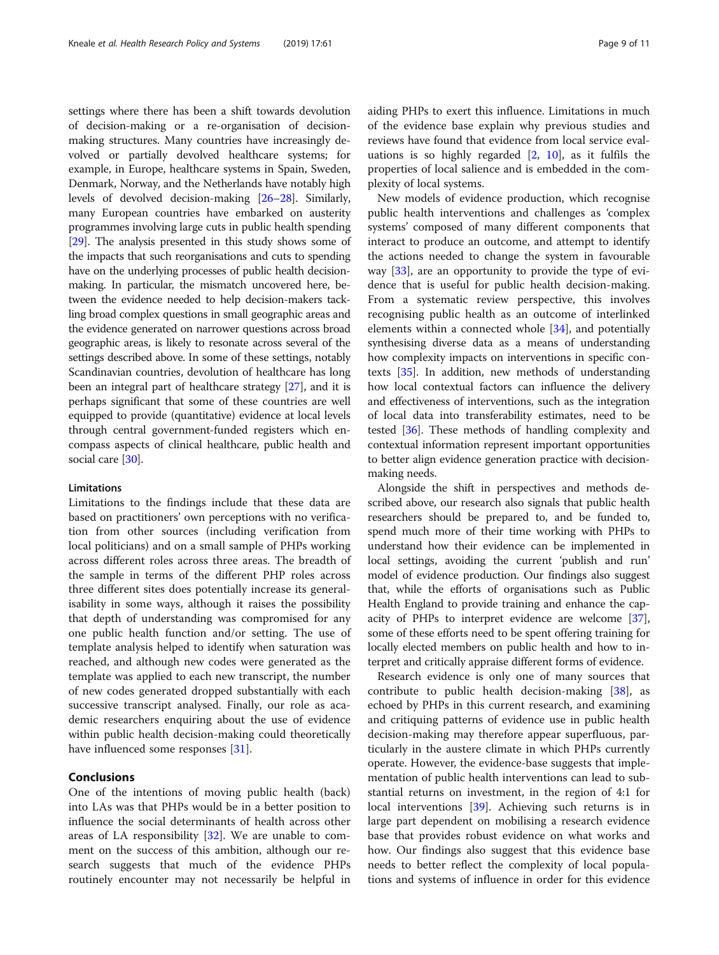settings where there has been a shift towards devolution of decision-making or a re-organisation of decisionmaking structures. Many countries have increasingly devolved or partially devolved healthcare systems; for example, in Europe, healthcare systems in Spain, Sweden, Denmark, Norway, and the Netherlands have notably high levels of devolved decision-making [[26](#page-9-0)–[28\]](#page-10-0). Similarly, many European countries have embarked on austerity programmes involving large cuts in public health spending [[29](#page-10-0)]. The analysis presented in this study shows some of the impacts that such reorganisations and cuts to spending have on the underlying processes of public health decisionmaking. In particular, the mismatch uncovered here, between the evidence needed to help decision-makers tackling broad complex questions in small geographic areas and the evidence generated on narrower questions across broad geographic areas, is likely to resonate across several of the settings described above. In some of these settings, notably Scandinavian countries, devolution of healthcare has long been an integral part of healthcare strategy [[27](#page-9-0)], and it is perhaps significant that some of these countries are well equipped to provide (quantitative) evidence at local levels through central government-funded registers which encompass aspects of clinical healthcare, public health and social care [[30](#page-10-0)].

## Limitations

Limitations to the findings include that these data are based on practitioners' own perceptions with no verification from other sources (including verification from local politicians) and on a small sample of PHPs working across different roles across three areas. The breadth of the sample in terms of the different PHP roles across three different sites does potentially increase its generalisability in some ways, although it raises the possibility that depth of understanding was compromised for any one public health function and/or setting. The use of template analysis helped to identify when saturation was reached, and although new codes were generated as the template was applied to each new transcript, the number of new codes generated dropped substantially with each successive transcript analysed. Finally, our role as academic researchers enquiring about the use of evidence within public health decision-making could theoretically have influenced some responses [[31\]](#page-10-0).

## Conclusions

One of the intentions of moving public health (back) into LAs was that PHPs would be in a better position to influence the social determinants of health across other areas of LA responsibility  $[32]$  $[32]$ . We are unable to comment on the success of this ambition, although our research suggests that much of the evidence PHPs routinely encounter may not necessarily be helpful in aiding PHPs to exert this influence. Limitations in much of the evidence base explain why previous studies and reviews have found that evidence from local service evaluations is so highly regarded  $[2, 10]$  $[2, 10]$  $[2, 10]$  $[2, 10]$ , as it fulfils the properties of local salience and is embedded in the complexity of local systems.

New models of evidence production, which recognise public health interventions and challenges as 'complex systems' composed of many different components that interact to produce an outcome, and attempt to identify the actions needed to change the system in favourable way [\[33](#page-10-0)], are an opportunity to provide the type of evidence that is useful for public health decision-making. From a systematic review perspective, this involves recognising public health as an outcome of interlinked elements within a connected whole [\[34](#page-10-0)], and potentially synthesising diverse data as a means of understanding how complexity impacts on interventions in specific contexts [\[35\]](#page-10-0). In addition, new methods of understanding how local contextual factors can influence the delivery and effectiveness of interventions, such as the integration of local data into transferability estimates, need to be tested [\[36\]](#page-10-0). These methods of handling complexity and contextual information represent important opportunities to better align evidence generation practice with decisionmaking needs.

Alongside the shift in perspectives and methods described above, our research also signals that public health researchers should be prepared to, and be funded to, spend much more of their time working with PHPs to understand how their evidence can be implemented in local settings, avoiding the current 'publish and run' model of evidence production. Our findings also suggest that, while the efforts of organisations such as Public Health England to provide training and enhance the capacity of PHPs to interpret evidence are welcome [[37](#page-10-0)], some of these efforts need to be spent offering training for locally elected members on public health and how to interpret and critically appraise different forms of evidence.

Research evidence is only one of many sources that contribute to public health decision-making [[38](#page-10-0)], as echoed by PHPs in this current research, and examining and critiquing patterns of evidence use in public health decision-making may therefore appear superfluous, particularly in the austere climate in which PHPs currently operate. However, the evidence-base suggests that implementation of public health interventions can lead to substantial returns on investment, in the region of 4:1 for local interventions [\[39\]](#page-10-0). Achieving such returns is in large part dependent on mobilising a research evidence base that provides robust evidence on what works and how. Our findings also suggest that this evidence base needs to better reflect the complexity of local populations and systems of influence in order for this evidence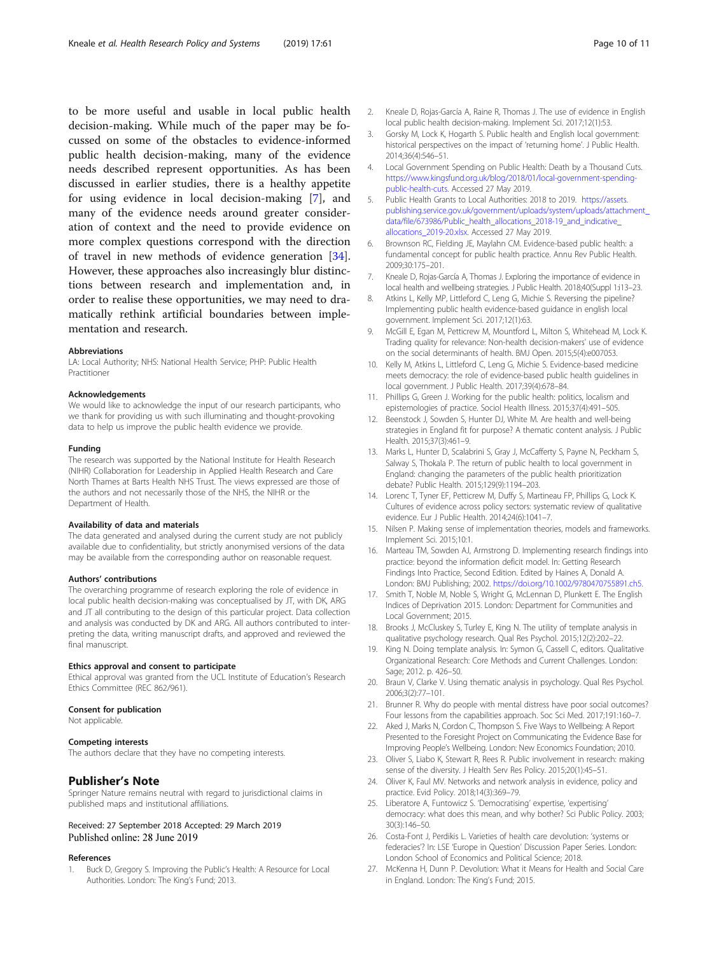<span id="page-9-0"></span>to be more useful and usable in local public health decision-making. While much of the paper may be focussed on some of the obstacles to evidence-informed public health decision-making, many of the evidence needs described represent opportunities. As has been discussed in earlier studies, there is a healthy appetite for using evidence in local decision-making [7], and many of the evidence needs around greater consideration of context and the need to provide evidence on more complex questions correspond with the direction of travel in new methods of evidence generation [\[34](#page-10-0)]. However, these approaches also increasingly blur distinctions between research and implementation and, in order to realise these opportunities, we may need to dramatically rethink artificial boundaries between implementation and research.

#### Abbreviations

LA: Local Authority; NHS: National Health Service; PHP: Public Health Practitioner

#### Acknowledgements

We would like to acknowledge the input of our research participants, who we thank for providing us with such illuminating and thought-provoking data to help us improve the public health evidence we provide.

#### Funding

The research was supported by the National Institute for Health Research (NIHR) Collaboration for Leadership in Applied Health Research and Care North Thames at Barts Health NHS Trust. The views expressed are those of the authors and not necessarily those of the NHS, the NIHR or the Department of Health.

#### Availability of data and materials

The data generated and analysed during the current study are not publicly available due to confidentiality, but strictly anonymised versions of the data may be available from the corresponding author on reasonable request.

#### Authors' contributions

The overarching programme of research exploring the role of evidence in local public health decision-making was conceptualised by JT, with DK, ARG and JT all contributing to the design of this particular project. Data collection and analysis was conducted by DK and ARG. All authors contributed to interpreting the data, writing manuscript drafts, and approved and reviewed the final manuscript.

#### Ethics approval and consent to participate

Ethical approval was granted from the UCL Institute of Education's Research Ethics Committee (REC 862/961).

#### Consent for publication

Not applicable.

#### Competing interests

The authors declare that they have no competing interests.

#### Publisher's Note

Springer Nature remains neutral with regard to jurisdictional claims in published maps and institutional affiliations.

## Received: 27 September 2018 Accepted: 29 March 2019 Published online: 28 June 2019

#### References

1. Buck D, Gregory S. Improving the Public's Health: A Resource for Local Authorities. London: The King's Fund; 2013.

- 2. Kneale D, Rojas-García A, Raine R, Thomas J. The use of evidence in English local public health decision-making. Implement Sci. 2017;12(1):53.
- 3. Gorsky M, Lock K, Hogarth S. Public health and English local government: historical perspectives on the impact of 'returning home'. J Public Health. 2014;36(4):546–51.
- 4. Local Government Spending on Public Health: Death by a Thousand Cuts. [https://www.kingsfund.org.uk/blog/2018/01/local-government-spending](https://www.kingsfund.org.uk/blog/2018/01/local-government-spending-public-health-cuts)[public-health-cuts.](https://www.kingsfund.org.uk/blog/2018/01/local-government-spending-public-health-cuts) Accessed 27 May 2019.
- 5. Public Health Grants to Local Authorities: 2018 to 2019. [https://assets.](https://assets.publishing.service.gov.uk/government/uploads/system/uploads/attachment_data/file/673986/Public_health_allocations_2018-19_and_indicative_allocations_2019-20.xlsx) [publishing.service.gov.uk/government/uploads/system/uploads/attachment\\_](https://assets.publishing.service.gov.uk/government/uploads/system/uploads/attachment_data/file/673986/Public_health_allocations_2018-19_and_indicative_allocations_2019-20.xlsx) [data/file/673986/Public\\_health\\_allocations\\_2018-19\\_and\\_indicative\\_](https://assets.publishing.service.gov.uk/government/uploads/system/uploads/attachment_data/file/673986/Public_health_allocations_2018-19_and_indicative_allocations_2019-20.xlsx) allocations 2019-20.xlsx. Accessed 27 May 2019.
- 6. Brownson RC, Fielding JE, Maylahn CM. Evidence-based public health: a fundamental concept for public health practice. Annu Rev Public Health. 2009;30:175–201.
- 7. Kneale D, Rojas-García A, Thomas J. Exploring the importance of evidence in local health and wellbeing strategies. J Public Health. 2018;40(Suppl 1:i13–23.
- Atkins L, Kelly MP, Littleford C, Leng G, Michie S. Reversing the pipeline? Implementing public health evidence-based guidance in english local government. Implement Sci. 2017;12(1):63.
- 9. McGill E, Egan M, Petticrew M, Mountford L, Milton S, Whitehead M, Lock K. Trading quality for relevance: Non-health decision-makers' use of evidence on the social determinants of health. BMJ Open. 2015;5(4):e007053.
- 10. Kelly M, Atkins L, Littleford C, Leng G, Michie S. Evidence-based medicine meets democracy: the role of evidence-based public health guidelines in local government. J Public Health. 2017;39(4):678–84.
- 11. Phillips G, Green J. Working for the public health: politics, localism and epistemologies of practice. Sociol Health Illness. 2015;37(4):491–505.
- 12. Beenstock J, Sowden S, Hunter DJ, White M. Are health and well-being strategies in England fit for purpose? A thematic content analysis. J Public Health. 2015;37(3):461–9.
- 13. Marks L, Hunter D, Scalabrini S, Gray J, McCafferty S, Payne N, Peckham S, Salway S, Thokala P. The return of public health to local government in England: changing the parameters of the public health prioritization debate? Public Health. 2015;129(9):1194–203.
- 14. Lorenc T, Tyner EF, Petticrew M, Duffy S, Martineau FP, Phillips G, Lock K. Cultures of evidence across policy sectors: systematic review of qualitative evidence. Eur J Public Health. 2014;24(6):1041–7.
- 15. Nilsen P. Making sense of implementation theories, models and frameworks. Implement Sci. 2015;10:1.
- 16. Marteau TM, Sowden AJ, Armstrong D. Implementing research findings into practice: beyond the information deficit model. In: Getting Research Findings Into Practice, Second Edition. Edited by Haines A, Donald A. London: BMJ Publishing; 2002. [https://doi.org/10.1002/9780470755891.ch5.](https://doi.org/10.1002/9780470755891.ch5)
- 17. Smith T, Noble M, Noble S, Wright G, McLennan D, Plunkett E. The English Indices of Deprivation 2015. London: Department for Communities and Local Government; 2015.
- 18. Brooks J, McCluskey S, Turley E, King N. The utility of template analysis in qualitative psychology research. Qual Res Psychol. 2015;12(2):202–22.
- 19. King N. Doing template analysis. In: Symon G, Cassell C, editors. Qualitative Organizational Research: Core Methods and Current Challenges. London: Sage; 2012. p. 426–50.
- 20. Braun V, Clarke V. Using thematic analysis in psychology. Qual Res Psychol. 2006;3(2):77–101.
- 21. Brunner R. Why do people with mental distress have poor social outcomes? Four lessons from the capabilities approach. Soc Sci Med. 2017;191:160–7.
- 22. Aked J, Marks N, Cordon C, Thompson S. Five Ways to Wellbeing: A Report Presented to the Foresight Project on Communicating the Evidence Base for Improving People's Wellbeing. London: New Economics Foundation; 2010.
- 23. Oliver S, Liabo K, Stewart R, Rees R. Public involvement in research: making sense of the diversity. J Health Serv Res Policy. 2015;20(1):45–51.
- 24. Oliver K, Faul MV. Networks and network analysis in evidence, policy and practice. Evid Policy. 2018;14(3):369–79.
- 25. Liberatore A, Funtowicz S. 'Democratising' expertise, 'expertising' democracy: what does this mean, and why bother? Sci Public Policy. 2003; 30(3):146–50.
- 26. Costa-Font J, Perdikis L. Varieties of health care devolution: 'systems or federacies'? In: LSE 'Europe in Question' Discussion Paper Series. London: London School of Economics and Political Science; 2018.
- 27. McKenna H, Dunn P. Devolution: What it Means for Health and Social Care in England. London: The King's Fund; 2015.